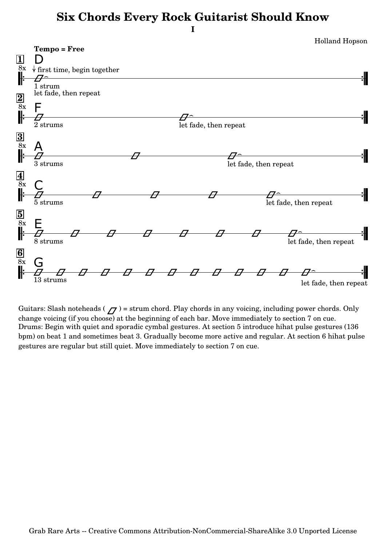## **Six Chords Every Rock Guitarist Should Know**



Guitars: Slash noteheads ( $\sqrt{7}$ ) = strum chord. Play chords in any voicing, including power chords. Only change voicing (if you choose) at the beginning of each bar. Move immediately to section 7 on cue. Drums: Begin with quiet and sporadic cymbal gestures. At section 5 introduce hihat pulse gestures (136 bpm) on beat 1 and sometimes beat 3. Gradually become more active and regular. At section 6 hihat pulse gestures are regular but still quiet. Move immediately to section 7 on cue.